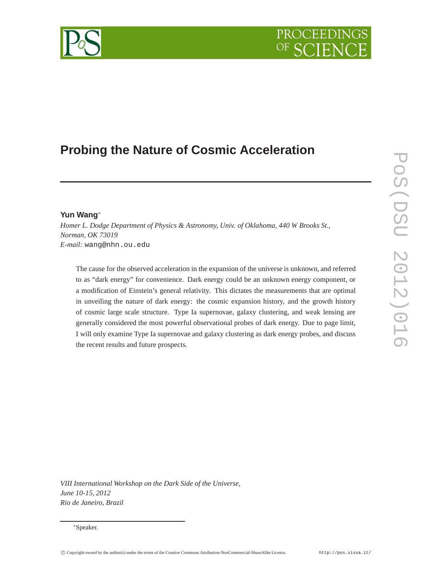# **Probing the Nature of Cosmic Acceleration**

# **Yun Wang**<sup>∗</sup>

*Homer L. Dodge Department of Physics & Astronomy, Univ. of Oklahoma, 440 W Brooks St., Norman, OK 73019 E-mail:* wang@nhn.ou.edu

The cause for the observed acceleration in the expansion of the universe is unknown, and referred to as "dark energy" for convenience. Dark energy could be an unknown energy component, or a modification of Einstein's general relativity. This dictates the measurements that are optimal in unveiling the nature of dark energy: the cosmic expansion history, and the growth history of cosmic large scale structure. Type Ia supernovae, galaxy clustering, and weak lensing are generally considered the most powerful observational probes of dark energy. Due to page limit, I will only examine Type Ia supernovae and galaxy clustering as dark energy probes, and discuss the recent results and future prospects.

*VIII International Workshop on the Dark Side of the Universe, June 10-15, 2012 Rio de Janeiro, Brazil*

<sup>∗</sup>Speaker.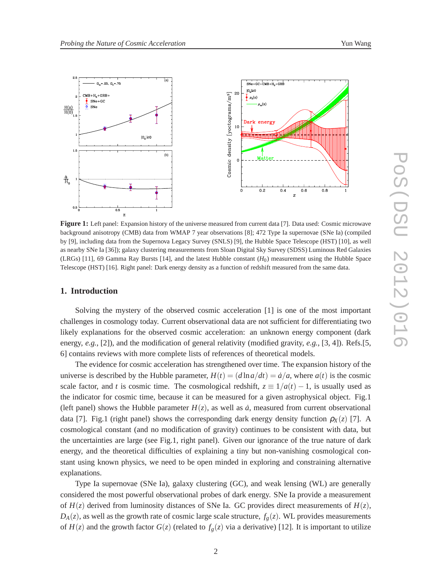

**Figure 1:** Left panel: Expansion history of the universe measured from current data [7]. Data used: Cosmic microwave background anisotropy (CMB) data from WMAP 7 year observations [8]; 472 Type Ia supernovae (SNe Ia) (compiled by [9], including data from the Supernova Legacy Survey (SNLS) [9], the Hubble Space Telescope (HST) [10], as well as nearby SNe Ia [36]); galaxy clustering measurements from Sloan Digital Sky Survey (SDSS) Luminous Red Galaxies (LRGs) [11], 69 Gamma Ray Bursts [14], and the latest Hubble constant  $(H_0)$  measurement using the Hubble Space Telescope (HST) [16]. Right panel: Dark energy density as a function of redshift measured from the same data.

## **1. Introduction**

Solving the mystery of the observed cosmic acceleration [1] is one of the most important challenges in cosmology today. Current observational data are not sufficient for differentiating two likely explanations for the observed cosmic acceleration: an unknown energy component (dark energy, *e.g.*, [2]), and the modification of general relativity (modified gravity, *e.g.*, [3, 4]). Refs.[5, 6] contains reviews with more complete lists of references of theoretical models.

The evidence for cosmic acceleration has strengthened over time. The expansion history of the universe is described by the Hubble parameter,  $H(t) = (d \ln a/dt) = \dot{a}/a$ , where  $a(t)$  is the cosmic scale factor, and *t* is cosmic time. The cosmological redshift,  $z \equiv 1/a(t) - 1$ , is usually used as the indicator for cosmic time, because it can be measured for a given astrophysical object. Fig.1 (left panel) shows the Hubble parameter  $H(z)$ , as well as  $\dot{a}$ , measured from current observational data [7]. Fig.1 (right panel) shows the corresponding dark energy density function  $\rho_X(z)$  [7]. A cosmological constant (and no modification of gravity) continues to be consistent with data, but the uncertainties are large (see Fig.1, right panel). Given our ignorance of the true nature of dark energy, and the theoretical difficulties of explaining a tiny but non-vanishing cosmological constant using known physics, we need to be open minded in exploring and constraining alternative explanations.

Type Ia supernovae (SNe Ia), galaxy clustering (GC), and weak lensing (WL) are generally considered the most powerful observational probes of dark energy. SNe Ia provide a measurement of  $H(z)$  derived from luminosity distances of SNe Ia. GC provides direct measurements of  $H(z)$ ,  $D_A(z)$ , as well as the growth rate of cosmic large scale structure,  $f_g(z)$ . WL provides measurements of  $H(z)$  and the growth factor  $G(z)$  (related to  $f_g(z)$  via a derivative) [12]. It is important to utilize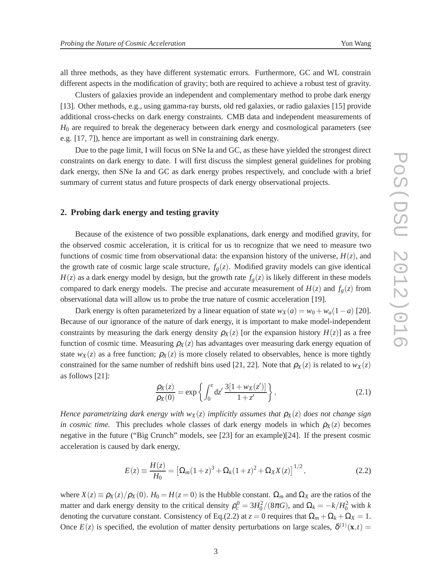all three methods, as they have different systematic errors. Furthermore, GC and WL constrain different aspects in the modification of gravity; both are required to achieve a robust test of gravity.

Clusters of galaxies provide an independent and complementary method to probe dark energy [13]. Other methods, e.g., using gamma-ray bursts, old red galaxies, or radio galaxies [15] provide additional cross-checks on dark energy constraints. CMB data and independent measurements of *H*<sup>0</sup> are required to break the degeneracy between dark energy and cosmological parameters (see e.g. [17, 7]), hence are important as well in constraining dark energy.

Due to the page limit, I will focus on SNe Ia and GC, as these have yielded the strongest direct constraints on dark energy to date. I will first discuss the simplest general guidelines for probing dark energy, then SNe Ia and GC as dark energy probes respectively, and conclude with a brief summary of current status and future prospects of dark energy observational projects.

### **2. Probing dark energy and testing gravity**

Because of the existence of two possible explanations, dark energy and modified gravity, for the observed cosmic acceleration, it is critical for us to recognize that we need to measure two functions of cosmic time from observational data: the expansion history of the universe,  $H(z)$ , and the growth rate of cosmic large scale structure,  $f_g(z)$ . Modified gravity models can give identical  $H(z)$  as a dark energy model by design, but the growth rate  $f_g(z)$  is likely different in these models compared to dark energy models. The precise and accurate measurement of  $H(z)$  and  $f_g(z)$  from observational data will allow us to probe the true nature of cosmic acceleration [19].

Dark energy is often parameterized by a linear equation of state  $w_X(a) = w_0 + w_a(1-a)$  [20]. Because of our ignorance of the nature of dark energy, it is important to make model-independent constraints by measuring the dark energy density  $\rho_X(z)$  [or the expansion history  $H(z)$ ] as a free function of cosmic time. Measuring  $\rho_X(z)$  has advantages over measuring dark energy equation of state  $w_X(z)$  as a free function;  $\rho_X(z)$  is more closely related to observables, hence is more tightly constrained for the same number of redshift bins used [21, 22]. Note that  $\rho_X(z)$  is related to  $w_X(z)$ as follows [21]:

$$
\frac{\rho_X(z)}{\rho_X(0)} = \exp\left\{ \int_0^z dz' \frac{3[1 + w_X(z')]}{1 + z'} \right\},\tag{2.1}
$$

*Hence parametrizing dark energy with*  $w_X(z)$  *implicitly assumes that*  $\rho_X(z)$  *does not change sign in cosmic time.* This precludes whole classes of dark energy models in which  $\rho_X(z)$  becomes negative in the future ("Big Crunch" models, see [23] for an example)[24]. If the present cosmic acceleration is caused by dark energy,

$$
E(z) = \frac{H(z)}{H_0} = \left[\Omega_m(1+z)^3 + \Omega_k(1+z)^2 + \Omega_X X(z)\right]^{1/2},\tag{2.2}
$$

where  $X(z) \equiv \rho_X(z)/\rho_X(0)$ .  $H_0 = H(z=0)$  is the Hubble constant.  $\Omega_m$  and  $\Omega_X$  are the ratios of the matter and dark energy density to the critical density  $\rho_c^0 = 3H_0^2/(8\pi G)$ , and  $\Omega_k = -k/H_0^2$  with *k* denoting the curvature constant. Consistency of Eq.(2.2) at  $z = 0$  requires that  $\Omega_m + \Omega_k + \Omega_X = 1$ . Once  $E(z)$  is specified, the evolution of matter density perturbations on large scales,  $\delta^{(1)}(\mathbf{x},t)$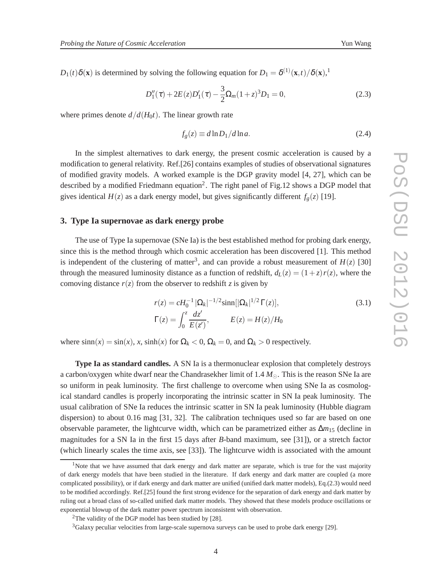*D*<sub>1</sub>(*t*) $\delta$ (**x**) is determined by solving the following equation for  $D_1 = \delta^{(1)}(\mathbf{x}, t)/\delta(\mathbf{x})$ ,<sup>1</sup>

$$
D_1''(\tau) + 2E(z)D_1'(\tau) - \frac{3}{2}\Omega_m(1+z)^3D_1 = 0,
$$
\n(2.3)

where primes denote  $d/d(H_0t)$ . The linear growth rate

$$
f_g(z) \equiv d \ln D_1 / d \ln a. \tag{2.4}
$$

In the simplest alternatives to dark energy, the present cosmic acceleration is caused by a modification to general relativity. Ref.[26] contains examples of studies of observational signatures of modified gravity models. A worked example is the DGP gravity model [4, 27], which can be described by a modified Friedmann equation<sup>2</sup>. The right panel of Fig.12 shows a DGP model that gives identical  $H(z)$  as a dark energy model, but gives significantly different  $f_g(z)$  [19].

#### **3. Type Ia supernovae as dark energy probe**

The use of Type Ia supernovae (SNe Ia) is the best established method for probing dark energy, since this is the method through which cosmic acceleration has been discovered [1]. This method is independent of the clustering of matter<sup>3</sup>, and can provide a robust measurement of  $H(z)$  [30] through the measured luminosity distance as a function of redshift,  $d_L(z) = (1+z) r(z)$ , where the comoving distance  $r(z)$  from the observer to redshift *z* is given by

$$
r(z) = cH_0^{-1} |\Omega_k|^{-1/2} \sinh[|\Omega_k|^{1/2} \Gamma(z)],
$$
  
\n
$$
\Gamma(z) = \int_0^z \frac{dz'}{E(z')}, \qquad E(z) = H(z)/H_0
$$
\n(3.1)

where  $\sinh(x) = \sin(x)$ , *x*,  $\sinh(x)$  for  $\Omega_k < 0$ ,  $\Omega_k = 0$ , and  $\Omega_k > 0$  respectively.

**Type Ia as standard candles.** A SN Ia is a thermonuclear explosion that completely destroys a carbon/oxygen white dwarf near the Chandrasekher limit of 1.4 *M*⊙. This is the reason SNe Ia are so uniform in peak luminosity. The first challenge to overcome when using SNe Ia as cosmological standard candles is properly incorporating the intrinsic scatter in SN Ia peak luminosity. The usual calibration of SNe Ia reduces the intrinsic scatter in SN Ia peak luminosity (Hubble diagram dispersion) to about 0.16 mag [31, 32]. The calibration techniques used so far are based on one observable parameter, the lightcurve width, which can be parametrized either as ∆*m*<sup>15</sup> (decline in magnitudes for a SN Ia in the first 15 days after *B*-band maximum, see [31]), or a stretch factor (which linearly scales the time axis, see [33]). The lightcurve width is associated with the amount

<sup>&</sup>lt;sup>1</sup>Note that we have assumed that dark energy and dark matter are separate, which is true for the vast majority of dark energy models that have been studied in the literature. If dark energy and dark matter are coupled (a more complicated possibility), or if dark energy and dark matter are unified (unified dark matter models), Eq.(2.3) would need to be modified accordingly. Ref.[25] found the first strong evidence for the separation of dark energy and dark matter by ruling out a broad class of so-called unified dark matter models. They showed that these models produce oscillations or exponential blowup of the dark matter power spectrum inconsistent with observation.

<sup>&</sup>lt;sup>2</sup>The validity of the DGP model has been studied by [28].

<sup>&</sup>lt;sup>3</sup>Galaxy peculiar velocities from large-scale supernova surveys can be used to probe dark energy [29].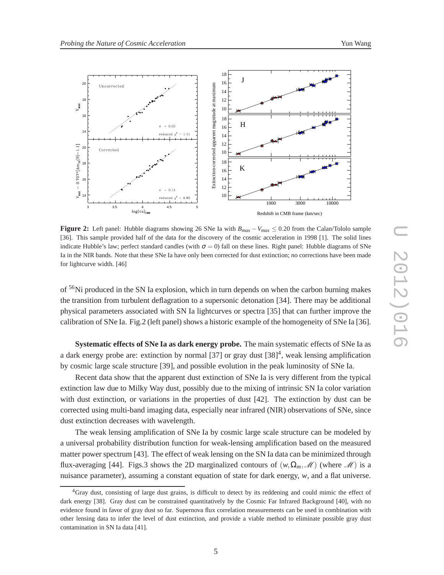

**Figure 2:** Left panel: Hubble diagrams showing 26 SNe Ia with  $B_{max} - V_{max} \le 0.20$  from the Calan/Tololo sample [36]. This sample provided half of the data for the discovery of the cosmic acceleration in 1998 [1]. The solid lines indicate Hubble's law; perfect standard candles (with  $\sigma = 0$ ) fall on these lines. Right panel: Hubble diagrams of SNe Ia in the NIR bands. Note that these SNe Ia have only been corrected for dust extinction; *no* corrections have been made for lightcurve width. [46]

of <sup>56</sup>Ni produced in the SN Ia explosion, which in turn depends on when the carbon burning makes the transition from turbulent deflagration to a supersonic detonation [34]. There may be additional physical parameters associated with SN Ia lightcurves or spectra [35] that can further improve the calibration of SNe Ia. Fig.2 (left panel) shows a historic example of the homogeneity of SNe Ia [36].

**Systematic effects of SNe Ia as dark energy probe.** The main systematic effects of SNe Ia as a dark energy probe are: extinction by normal  $[37]$  or gray dust  $[38]<sup>4</sup>$ , weak lensing amplification by cosmic large scale structure [39], and possible evolution in the peak luminosity of SNe Ia.

Recent data show that the apparent dust extinction of SNe Ia is very different from the typical extinction law due to Milky Way dust, possibly due to the mixing of intrinsic SN Ia color variation with dust extinction, or variations in the properties of dust [42]. The extinction by dust can be corrected using multi-band imaging data, especially near infrared (NIR) observations of SNe, since dust extinction decreases with wavelength.

The weak lensing amplification of SNe Ia by cosmic large scale structure can be modeled by a universal probability distribution function for weak-lensing amplification based on the measured matter power spectrum [43]. The effect of weak lensing on the SN Ia data can be minimized through flux-averaging [44]. Figs.3 shows the 2D marginalized contours of  $(w, \Omega_m, \mathcal{M})$  (where  $\mathcal{M}$ ) is a nuisance parameter), assuming a constant equation of state for dark energy, *w*, and a flat universe.

<sup>&</sup>lt;sup>4</sup>Gray dust, consisting of large dust grains, is difficult to detect by its reddening and could mimic the effect of dark energy [38]. Gray dust can be constrained quantitatively by the Cosmic Far Infrared Background [40], with no evidence found in favor of gray dust so far. Supernova flux correlation measurements can be used in combination with other lensing data to infer the level of dust extinction, and provide a viable method to eliminate possible gray dust contamination in SN Ia data [41].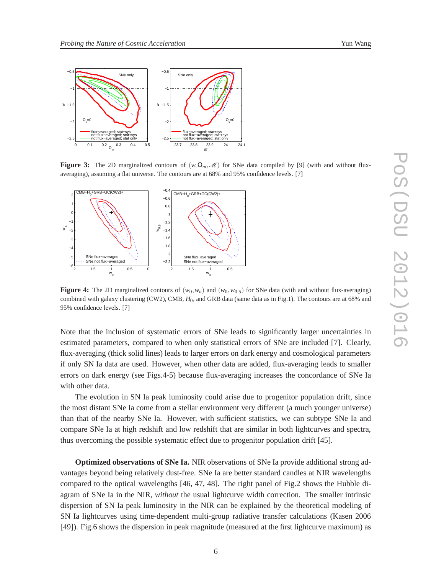

**Figure 3:** The 2D marginalized contours of  $(w, \Omega_m, \mathcal{M})$  for SNe data compiled by [9] (with and without fluxaveraging), assuming a flat universe. The contours are at 68% and 95% confidence levels. [7]



**Figure 4:** The 2D marginalized contours of  $(w_0, w_a)$  and  $(w_0, w_0, s)$  for SNe data (with and without flux-averaging) combined with galaxy clustering (CW2), CMB,  $H_0$ , and GRB data (same data as in Fig.1). The contours are at 68% and 95% confidence levels. [7]

Note that the inclusion of systematic errors of SNe leads to significantly larger uncertainties in estimated parameters, compared to when only statistical errors of SNe are included [7]. Clearly, flux-averaging (thick solid lines) leads to larger errors on dark energy and cosmological parameters if only SN Ia data are used. However, when other data are added, flux-averaging leads to smaller errors on dark energy (see Figs.4-5) because flux-averaging increases the concordance of SNe Ia with other data.

The evolution in SN Ia peak luminosity could arise due to progenitor population drift, since the most distant SNe Ia come from a stellar environment very different (a much younger universe) than that of the nearby SNe Ia. However, with sufficient statistics, we can subtype SNe Ia and compare SNe Ia at high redshift and low redshift that are similar in both lightcurves and spectra, thus overcoming the possible systematic effect due to progenitor population drift [45].

**Optimized observations of SNe Ia.** NIR observations of SNe Ia provide additional strong advantages beyond being relatively dust-free. SNe Ia are better standard candles at NIR wavelengths compared to the optical wavelengths [46, 47, 48]. The right panel of Fig.2 shows the Hubble diagram of SNe Ia in the NIR, *without* the usual lightcurve width correction. The smaller intrinsic dispersion of SN Ia peak luminosity in the NIR can be explained by the theoretical modeling of SN Ia lightcurves using time-dependent multi-group radiative transfer calculations (Kasen 2006 [49]). Fig.6 shows the dispersion in peak magnitude (measured at the first lightcurve maximum) as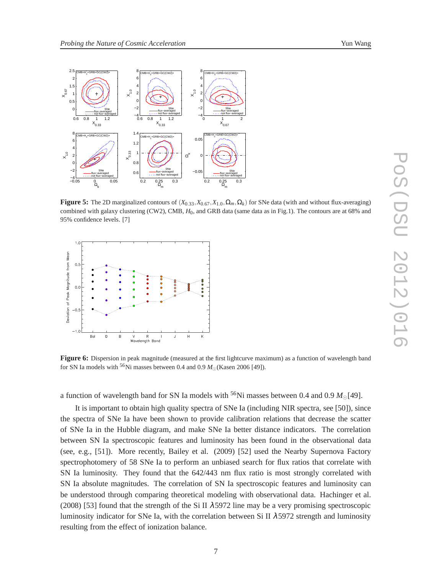

**Figure 5:** The 2D marginalized contours of  $(X_{0.33}, X_{0.67}, X_{1.0}, \Omega_m, \Omega_k)$  for SNe data (with and without flux-averaging) combined with galaxy clustering (CW2), CMB, *H*0, and GRB data (same data as in Fig.1). The contours are at 68% and 95% confidence levels. [7]



**Figure 6:** Dispersion in peak magnitude (measured at the first lightcurve maximum) as a function of wavelength band for SN Ia models with <sup>56</sup>Ni masses between 0.4 and 0.9  $M_{\odot}$  (Kasen 2006 [49]).

a function of wavelength band for SN Ia models with <sup>56</sup>Ni masses between 0.4 and 0.9  $M_{\odot}$ [49].

It is important to obtain high quality spectra of SNe Ia (including NIR spectra, see [50]), since the spectra of SNe Ia have been shown to provide calibration relations that decrease the scatter of SNe Ia in the Hubble diagram, and make SNe Ia better distance indicators. The correlation between SN Ia spectroscopic features and luminosity has been found in the observational data (see, e.g., [51]). More recently, Bailey et al. (2009) [52] used the Nearby Supernova Factory spectrophotomery of 58 SNe Ia to perform an unbiased search for flux ratios that correlate with SN Ia luminosity. They found that the 642/443 nm flux ratio is most strongly correlated with SN Ia absolute magnitudes. The correlation of SN Ia spectroscopic features and luminosity can be understood through comparing theoretical modeling with observational data. Hachinger et al.  $(2008)$  [53] found that the strength of the Si II  $\lambda$ 5972 line may be a very promising spectroscopic luminosity indicator for SNe Ia, with the correlation between Si II  $\lambda$  5972 strength and luminosity resulting from the effect of ionization balance.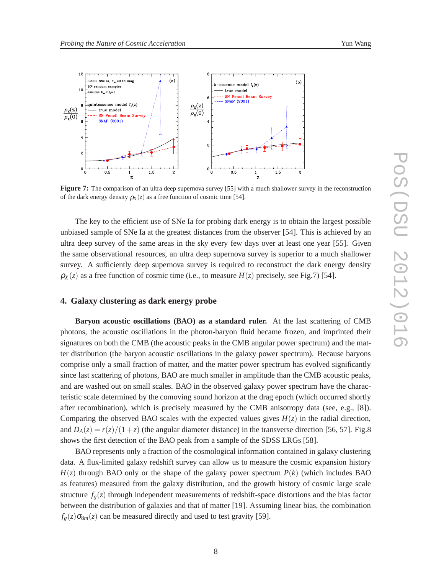

**Figure 7:** The comparison of an ultra deep supernova survey [55] with a much shallower survey in the reconstruction of the dark energy density  $\rho_X(z)$  as a free function of cosmic time [54].

The key to the efficient use of SNe Ia for probing dark energy is to obtain the largest possible unbiased sample of SNe Ia at the greatest distances from the observer [54]. This is achieved by an ultra deep survey of the same areas in the sky every few days over at least one year [55]. Given the same observational resources, an ultra deep supernova survey is superior to a much shallower survey. A sufficiently deep supernova survey is required to reconstruct the dark energy density  $\rho_X(z)$  as a free function of cosmic time (i.e., to measure  $H(z)$  precisely, see Fig.7) [54].

#### **4. Galaxy clustering as dark energy probe**

**Baryon acoustic oscillations (BAO) as a standard ruler.** At the last scattering of CMB photons, the acoustic oscillations in the photon-baryon fluid became frozen, and imprinted their signatures on both the CMB (the acoustic peaks in the CMB angular power spectrum) and the matter distribution (the baryon acoustic oscillations in the galaxy power spectrum). Because baryons comprise only a small fraction of matter, and the matter power spectrum has evolved significantly since last scattering of photons, BAO are much smaller in amplitude than the CMB acoustic peaks, and are washed out on small scales. BAO in the observed galaxy power spectrum have the characteristic scale determined by the comoving sound horizon at the drag epoch (which occurred shortly after recombination), which is precisely measured by the CMB anisotropy data (see, e.g., [8]). Comparing the observed BAO scales with the expected values gives  $H(z)$  in the radial direction, and  $D_A(z) = r(z)/(1+z)$  (the angular diameter distance) in the transverse direction [56, 57]. Fig.8 shows the first detection of the BAO peak from a sample of the SDSS LRGs [58].

BAO represents only a fraction of the cosmological information contained in galaxy clustering data. A flux-limited galaxy redshift survey can allow us to measure the cosmic expansion history  $H(z)$  through BAO only or the shape of the galaxy power spectrum  $P(k)$  (which includes BAO as features) measured from the galaxy distribution, and the growth history of cosmic large scale structure  $f_g(z)$  through independent measurements of redshift-space distortions and the bias factor between the distribution of galaxies and that of matter [19]. Assuming linear bias, the combination  $f_g(z)\sigma_{8m}(z)$  can be measured directly and used to test gravity [59].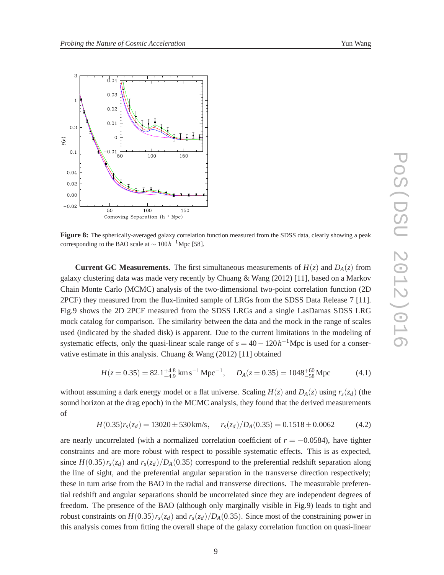

**Figure 8:** The spherically-averaged galaxy correlation function measured from the SDSS data, clearly showing a peak corresponding to the BAO scale at  $\sim 100 h^{-1}$ Mpc [58].

**Current GC Measurements.** The first simultaneous measurements of  $H(z)$  and  $D_A(z)$  from galaxy clustering data was made very recently by Chuang & Wang (2012) [11], based on a Markov Chain Monte Carlo (MCMC) analysis of the two-dimensional two-point correlation function (2D 2PCF) they measured from the flux-limited sample of LRGs from the SDSS Data Release 7 [11]. Fig.9 shows the 2D 2PCF measured from the SDSS LRGs and a single LasDamas SDSS LRG mock catalog for comparison. The similarity between the data and the mock in the range of scales used (indicated by the shaded disk) is apparent. Due to the current limitations in the modeling of systematic effects, only the quasi-linear scale range of  $s = 40 - 120h^{-1}$ Mpc is used for a conservative estimate in this analysis. Chuang & Wang (2012) [11] obtained

$$
H(z = 0.35) = 82.1^{+4.8}_{-4.9} \text{ km s}^{-1} \text{ Mpc}^{-1}, \quad D_A(z = 0.35) = 1048^{+60}_{-58} \text{ Mpc}
$$
 (4.1)

without assuming a dark energy model or a flat universe. Scaling  $H(z)$  and  $D_A(z)$  using  $r_s(z_d)$  (the sound horizon at the drag epoch) in the MCMC analysis, they found that the derived measurements of

$$
H(0.35)r_s(z_d) = 13020 \pm 530 \,\text{km/s}, \quad r_s(z_d)/D_A(0.35) = 0.1518 \pm 0.0062 \tag{4.2}
$$

are nearly uncorrelated (with a normalized correlation coefficient of  $r = -0.0584$ ), have tighter constraints and are more robust with respect to possible systematic effects. This is as expected, since  $H(0.35) r_s(z_d)$  and  $r_s(z_d)/D_A(0.35)$  correspond to the preferential redshift separation along the line of sight, and the preferential angular separation in the transverse direction respectively; these in turn arise from the BAO in the radial and transverse directions. The measurable preferential redshift and angular separations should be uncorrelated since they are independent degrees of freedom. The presence of the BAO (although only marginally visible in Fig.9) leads to tight and robust constraints on  $H(0.35)$ *r<sub>s</sub>*( $z_d$ ) and  $r_s(z_d)/D_A(0.35)$ . Since most of the constraining power in this analysis comes from fitting the overall shape of the galaxy correlation function on quasi-linear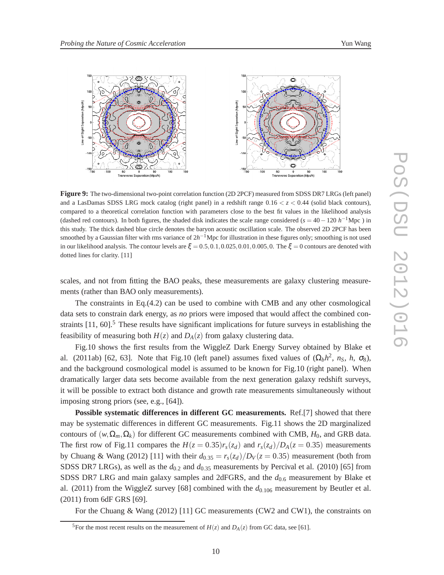

**Figure 9:** The two-dimensional two-point correlation function (2D 2PCF) measured from SDSS DR7 LRGs (left panel) and a LasDamas SDSS LRG mock catalog (right panel) in a redshift range  $0.16 < z < 0.44$  (solid black contours), compared to a theoretical correlation function with parameters close to the best fit values in the likelihood analysis (dashed red contours). In both figures, the shaded disk indicates the scale range considered ( $s = 40 - 120 h^{-1}$ Mpc) in this study. The thick dashed blue circle denotes the baryon acoustic oscillation scale. The observed 2D 2PCF has been smoothed by a Gaussian filter with rms variance of 2*h*<sup>-1</sup>Mpc for illustration in these figures only; smoothing is not used in our likelihood analysis. The contour levels are  $\xi = 0.5, 0.1, 0.025, 0.01, 0.005, 0$ . The  $\xi = 0$  contours are denoted with dotted lines for clarity. [11]

scales, and not from fitting the BAO peaks, these measurements are galaxy clustering measurements (rather than BAO only measurements).

The constraints in Eq.(4.2) can be used to combine with CMB and any other cosmological data sets to constrain dark energy, as *no* priors were imposed that would affect the combined constraints  $[11, 60]$ .<sup>5</sup> These results have significant implications for future surveys in establishing the feasibility of measuring both  $H(z)$  and  $D<sub>A</sub>(z)$  from galaxy clustering data.

Fig.10 shows the first results from the WiggleZ Dark Energy Survey obtained by Blake et al. (2011ab) [62, 63]. Note that Fig.10 (left panel) assumes fixed values of  $(\Omega_b h^2, n_S, h, \sigma_8)$ , and the background cosmological model is assumed to be known for Fig.10 (right panel). When dramatically larger data sets become available from the next generation galaxy redshift surveys, it will be possible to extract both distance and growth rate measurements simultaneously without imposing strong priors (see, e.g., [64]).

**Possible systematic differences in different GC measurements.** Ref.[7] showed that there may be systematic differences in different GC measurements. Fig.11 shows the 2D marginalized contours of  $(w, \Omega_m, \Omega_k)$  for different GC measurements combined with CMB,  $H_0$ , and GRB data. The first row of Fig.11 compares the  $H(z = 0.35)r_s(z_d)$  and  $r_s(z_d)/D_A(z = 0.35)$  measurements by Chuang & Wang (2012) [11] with their  $d_{0.35} = r_s(z_d)/D_V(z = 0.35)$  measurement (both from SDSS DR7 LRGs), as well as the  $d_{0.2}$  and  $d_{0.35}$  measurements by Percival et al. (2010) [65] from SDSS DR7 LRG and main galaxy samples and 2dFGRS, and the *d*0.<sup>6</sup> measurement by Blake et al.  $(2011)$  from the WiggleZ survey [68] combined with the  $d_{0.106}$  measurement by Beutler et al. (2011) from 6dF GRS [69].

For the Chuang & Wang (2012) [11] GC measurements (CW2 and CW1), the constraints on

<sup>&</sup>lt;sup>5</sup>For the most recent results on the measurement of  $H(z)$  and  $D_A(z)$  from GC data, see [61].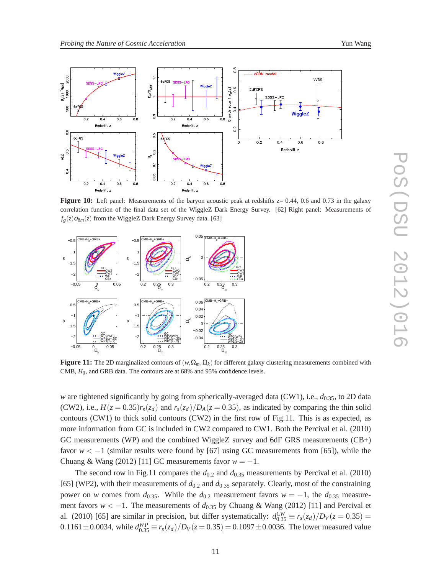

**Figure 10:** Left panel: Measurements of the baryon acoustic peak at redshifts  $z = 0.44$ , 0.6 and 0.73 in the galaxy correlation function of the final data set of the WiggleZ Dark Energy Survey. [62] Right panel: Measurements of  $f_g(z) \sigma_{8m}(z)$  from the WiggleZ Dark Energy Survey data. [63]



**Figure 11:** The 2D marginalized contours of  $(w, \Omega_m, \Omega_k)$  for different galaxy clustering measurements combined with CMB, *H*0, and GRB data. The contours are at 68% and 95% confidence levels.

*w* are tightened significantly by going from spherically-averaged data (CW1), i.e., *d*0.35, to 2D data (CW2), i.e.,  $H(z = 0.35)r_s(z_d)$  and  $r_s(z_d)/D_A(z = 0.35)$ , as indicated by comparing the thin solid contours (CW1) to thick solid contours (CW2) in the first row of Fig.11. This is as expected, as more information from GC is included in CW2 compared to CW1. Both the Percival et al. (2010) GC measurements (WP) and the combined WiggleZ survey and 6dF GRS measurements (CB+) favor  $w < -1$  (similar results were found by [67] using GC measurements from [65]), while the Chuang & Wang (2012) [11] GC measurements favor  $w = -1$ .

The second row in Fig.11 compares the  $d_{0.2}$  and  $d_{0.35}$  measurements by Percival et al. (2010) [65] (WP2), with their measurements of  $d_{0.2}$  and  $d_{0.35}$  separately. Clearly, most of the constraining power on *w* comes from  $d_{0.35}$ . While the  $d_{0.2}$  measurement favors  $w = -1$ , the  $d_{0.35}$  measurement favors *w* < −1. The measurements of  $d_{0.35}$  by Chuang & Wang (2012) [11] and Percival et al. (2010) [65] are similar in precision, but differ systematically:  $d_{0.35}^{CW} \equiv r_s(z_d)/D_V(z=0.35)$  = 0.1161 $\pm$ 0.0034, while  $d_{0.35}^{WP} \equiv r_s(z_d)/D_V(z=0.35) = 0.1097 \pm 0.0036$ . The lower measured value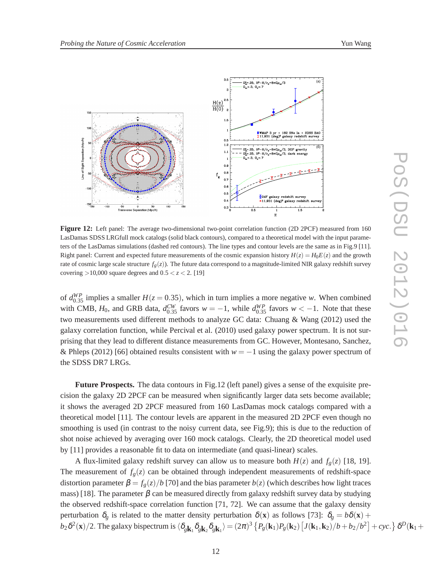



**Figure 12:** Left panel: The average two-dimensional two-point correlation function (2D 2PCF) measured from 160 LasDamas SDSS LRGfull mock catalogs (solid black contours), compared to a theoretical model with the input parameters of the LasDamas simulations (dashed red contours). The line types and contour levels are the same as in Fig.9 [11]. Right panel: Current and expected future measurements of the cosmic expansion history  $H(z) = H_0E(z)$  and the growth rate of cosmic large scale structure  $f_g(z)$ ). The future data correspond to a magnitude-limited NIR galaxy redshift survey covering  $>10,000$  square degrees and  $0.5 < z < 2$ . [19]

of  $d_{0.35}^{WP}$  implies a smaller  $H(z = 0.35)$ , which in turn implies a more negative *w*. When combined with CMB,  $H_0$ , and GRB data,  $d_{0.35}^{CW}$  favors  $w = -1$ , while  $d_{0.35}^{WP}$  favors  $w < -1$ . Note that these two measurements used different methods to analyze GC data: Chuang & Wang (2012) used the galaxy correlation function, while Percival et al. (2010) used galaxy power spectrum. It is not surprising that they lead to different distance measurements from GC. However, Montesano, Sanchez, & Phleps (2012) [66] obtained results consistent with *w* = −1 using the galaxy power spectrum of the SDSS DR7 LRGs.

**Future Prospects.** The data contours in Fig.12 (left panel) gives a sense of the exquisite precision the galaxy 2D 2PCF can be measured when significantly larger data sets become available; it shows the averaged 2D 2PCF measured from 160 LasDamas mock catalogs compared with a theoretical model [11]. The contour levels are apparent in the measured 2D 2PCF even though no smoothing is used (in contrast to the noisy current data, see Fig.9); this is due to the reduction of shot noise achieved by averaging over 160 mock catalogs. Clearly, the 2D theoretical model used by [11] provides a reasonable fit to data on intermediate (and quasi-linear) scales.

A flux-limited galaxy redshift survey can allow us to measure both  $H(z)$  and  $f_g(z)$  [18, 19]. The measurement of  $f_g(z)$  can be obtained through independent measurements of redshift-space distortion parameter  $\beta = f_g(z)/b$  [70] and the bias parameter  $b(z)$  (which describes how light traces mass) [18]. The parameter  $\beta$  can be measured directly from galaxy redshift survey data by studying the observed redshift-space correlation function [71, 72]. We can assume that the galaxy density perturbation  $\delta_g$  is related to the matter density perturbation  $\delta(\mathbf{x})$  as follows [73]:  $\delta_g = b\delta(\mathbf{x}) +$  $b_2\delta^2(\mathbf{x})/2$ . The galaxy bispectrum is  $\langle \delta_{g\mathbf{k}_1}\delta_{g\mathbf{k}_2}\delta_{g\mathbf{k}_1}\rangle = (2\pi)^3 \left\{P_g(\mathbf{k}_1)P_g(\mathbf{k}_2)\left[J(\mathbf{k}_1,\mathbf{k}_2)/b + b_2/b^2\right] + cyc.\right\} \delta^D(\mathbf{k}_1 + \mathbf{k}_2)$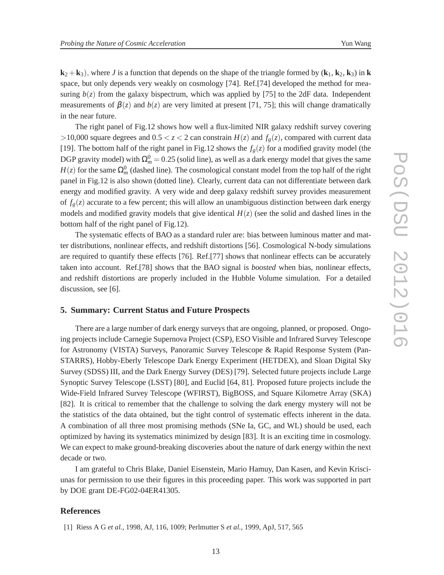$k_2 + k_3$ , where *J* is a function that depends on the shape of the triangle formed by  $(k_1, k_2, k_3)$  in **k** space, but only depends very weakly on cosmology [74]. Ref.[74] developed the method for measuring  $b(z)$  from the galaxy bispectrum, which was applied by [75] to the 2dF data. Independent measurements of  $\beta(z)$  and  $b(z)$  are very limited at present [71, 75]; this will change dramatically in the near future.

The right panel of Fig.12 shows how well a flux-limited NIR galaxy redshift survey covering >10,000 square degrees and  $0.5 < z < 2$  can constrain  $H(z)$  and  $f_g(z)$ , compared with current data [19]. The bottom half of the right panel in Fig.12 shows the  $f_g(z)$  for a modified gravity model (the DGP gravity model) with  $\Omega_m^0 = 0.25$  (solid line), as well as a dark energy model that gives the same  $H(z)$  for the same  $\Omega_m^0$  (dashed line). The cosmological constant model from the top half of the right panel in Fig.12 is also shown (dotted line). Clearly, current data can not differentiate between dark energy and modified gravity. A very wide and deep galaxy redshift survey provides measurement of  $f_g(z)$  accurate to a few percent; this will allow an unambiguous distinction between dark energy models and modified gravity models that give identical  $H(z)$  (see the solid and dashed lines in the bottom half of the right panel of Fig.12).

The systematic effects of BAO as a standard ruler are: bias between luminous matter and matter distributions, nonlinear effects, and redshift distortions [56]. Cosmological N-body simulations are required to quantify these effects [76]. Ref.[77] shows that nonlinear effects can be accurately taken into account. Ref.[78] shows that the BAO signal is *boosted* when bias, nonlinear effects, and redshift distortions are properly included in the Hubble Volume simulation. For a detailed discussion, see [6].

#### **5. Summary: Current Status and Future Prospects**

There are a large number of dark energy surveys that are ongoing, planned, or proposed. Ongoing projects include Carnegie Supernova Project (CSP), ESO Visible and Infrared Survey Telescope for Astronomy (VISTA) Surveys, Panoramic Survey Telescope & Rapid Response System (Pan-STARRS), Hobby-Eberly Telescope Dark Energy Experiment (HETDEX), and Sloan Digital Sky Survey (SDSS) III, and the Dark Energy Survey (DES) [79]. Selected future projects include Large Synoptic Survey Telescope (LSST) [80], and Euclid [64, 81]. Proposed future projects include the Wide-Field Infrared Survey Telescope (WFIRST), BigBOSS, and Square Kilometre Array (SKA) [82]. It is critical to remember that the challenge to solving the dark energy mystery will not be the statistics of the data obtained, but the tight control of systematic effects inherent in the data. A combination of all three most promising methods (SNe Ia, GC, and WL) should be used, each optimized by having its systematics minimized by design [83]. It is an exciting time in cosmology. We can expect to make ground-breaking discoveries about the nature of dark energy within the next decade or two.

I am grateful to Chris Blake, Daniel Eisenstein, Mario Hamuy, Dan Kasen, and Kevin Krisciunas for permission to use their figures in this proceeding paper. This work was supported in part by DOE grant DE-FG02-04ER41305.

#### **References**

[1] Riess A G *et al.*, 1998, AJ, 116, 1009; Perlmutter S *et al.*, 1999, ApJ, 517, 565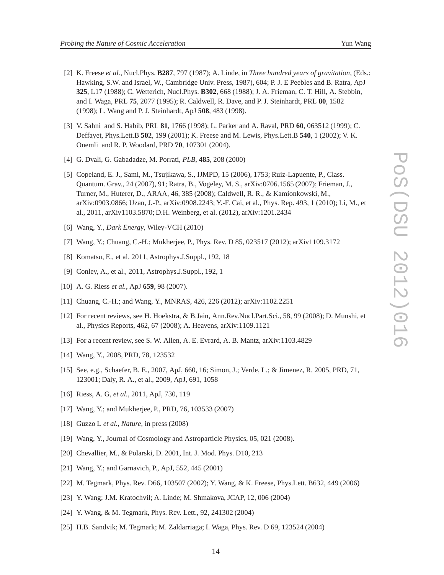- [2] K. Freese *et al.*, Nucl.Phys. **B287**, 797 (1987); A. Linde, in *Three hundred years of gravitation*, (Eds.: Hawking, S.W. and Israel, W., Cambridge Univ. Press, 1987), 604; P. J. E Peebles and B. Ratra, ApJ **325**, L17 (1988); C. Wetterich, Nucl.Phys. **B302**, 668 (1988); J. A. Frieman, C. T. Hill, A. Stebbin, and I. Waga, PRL **75**, 2077 (1995); R. Caldwell, R. Dave, and P. J. Steinhardt, PRL **80**, 1582 (1998); L. Wang and P. J. Steinhardt, ApJ **508**, 483 (1998).
- [3] V. Sahni and S. Habib, PRL **81**, 1766 (1998); L. Parker and A. Raval, PRD **60**, 063512 (1999); C. Deffayet, Phys.Lett.B **502**, 199 (2001); K. Freese and M. Lewis, Phys.Lett.B **540**, 1 (2002); V. K. Onemli and R. P. Woodard, PRD **70**, 107301 (2004).
- [4] G. Dvali, G. Gabadadze, M. Porrati, *PLB*, **485**, 208 (2000)
- [5] Copeland, E. J., Sami, M., Tsujikawa, S., IJMPD, 15 (2006), 1753; Ruiz-Lapuente, P., Class. Quantum. Grav., 24 (2007), 91; Ratra, B., Vogeley, M. S., arXiv:0706.1565 (2007); Frieman, J., Turner, M., Huterer, D., ARAA, 46, 385 (2008); Caldwell, R. R., & Kamionkowski, M., arXiv:0903.0866; Uzan, J.-P., arXiv:0908.2243; Y.-F. Cai, et al., Phys. Rep. 493, 1 (2010); Li, M., et al., 2011, arXiv1103.5870; D.H. Weinberg, et al. (2012), arXiv:1201.2434
- [6] Wang, Y., *Dark Energy*, Wiley-VCH (2010)
- [7] Wang, Y.; Chuang, C.-H.; Mukherjee, P., Phys. Rev. D 85, 023517 (2012); arXiv1109.3172
- [8] Komatsu, E., et al. 2011, Astrophys.J.Suppl., 192, 18
- [9] Conley, A., et al., 2011, Astrophys.J.Suppl., 192, 1
- [10] A. G. Riess *et al.*, ApJ **659**, 98 (2007).
- [11] Chuang, C.-H.; and Wang, Y., MNRAS, 426, 226 (2012); arXiv:1102.2251
- [12] For recent reviews, see H. Hoekstra, & B.Jain, Ann.Rev.Nucl.Part.Sci., 58, 99 (2008); D. Munshi, et al., Physics Reports, 462, 67 (2008); A. Heavens, arXiv:1109.1121
- [13] For a recent review, see S. W. Allen, A. E. Evrard, A. B. Mantz, arXiv:1103.4829
- [14] Wang, Y., 2008, PRD, 78, 123532
- [15] See, e.g., Schaefer, B. E., 2007, ApJ, 660, 16; Simon, J.; Verde, L.; & Jimenez, R. 2005, PRD, 71, 123001; Daly, R. A., et al., 2009, ApJ, 691, 1058
- [16] Riess, A. G, *et al.*, 2011, ApJ, 730, 119
- [17] Wang, Y.; and Mukherjee, P., PRD, 76, 103533 (2007)
- [18] Guzzo L *et al.*, *Nature*, in press (2008)
- [19] Wang, Y., Journal of Cosmology and Astroparticle Physics, 05, 021 (2008).
- [20] Chevallier, M., & Polarski, D. 2001, Int. J. Mod. Phys. D10, 213
- [21] Wang, Y.; and Garnavich, P., ApJ, 552, 445 (2001)
- [22] M. Tegmark, Phys. Rev. D66, 103507 (2002); Y. Wang, & K. Freese, Phys.Lett. B632, 449 (2006)
- [23] Y. Wang; J.M. Kratochvil; A. Linde; M. Shmakova, JCAP, 12, 006 (2004)
- [24] Y. Wang, & M. Tegmark, Phys. Rev. Lett., 92, 241302 (2004)
- [25] H.B. Sandvik; M. Tegmark; M. Zaldarriaga; I. Waga, Phys. Rev. D 69, 123524 (2004)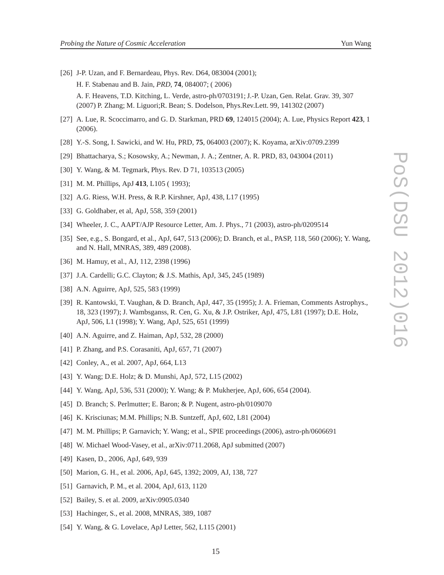- 
- [26] J-P. Uzan, and F. Bernardeau, Phys. Rev. D64, 083004 (2001); H. F. Stabenau and B. Jain, *PRD*, **74**, 084007; ( 2006) A. F. Heavens, T.D. Kitching, L. Verde, astro-ph/0703191; J.-P. Uzan, Gen. Relat. Grav. 39, 307 (2007) P. Zhang; M. Liguori;R. Bean; S. Dodelson, Phys.Rev.Lett. 99, 141302 (2007)
- [27] A. Lue, R. Scoccimarro, and G. D. Starkman, PRD **69**, 124015 (2004); A. Lue, Physics Report **423**, 1 (2006).
- [28] Y.-S. Song, I. Sawicki, and W. Hu, PRD, **75**, 064003 (2007); K. Koyama, arXiv:0709.2399
- [29] Bhattacharya, S.; Kosowsky, A.; Newman, J. A.; Zentner, A. R. PRD, 83, 043004 (2011)
- [30] Y. Wang, & M. Tegmark, Phys. Rev. D 71, 103513 (2005)
- [31] M. M. Phillips, ApJ **413**, L105 ( 1993);
- [32] A.G. Riess, W.H. Press, & R.P. Kirshner, ApJ, 438, L17 (1995)
- [33] G. Goldhaber, et al, ApJ, 558, 359 (2001)
- [34] Wheeler, J. C., AAPT/AJP Resource Letter, Am. J. Phys., 71 (2003), astro-ph/0209514
- [35] See, e.g., S. Bongard, et al., ApJ, 647, 513 (2006); D. Branch, et al., PASP, 118, 560 (2006); Y. Wang, and N. Hall, MNRAS, 389, 489 (2008).
- [36] M. Hamuy, et al., AJ, 112, 2398 (1996)
- [37] J.A. Cardelli; G.C. Clayton; & J.S. Mathis, ApJ, 345, 245 (1989)
- [38] A.N. Aguirre, ApJ, 525, 583 (1999)
- [39] R. Kantowski, T. Vaughan, & D. Branch, ApJ, 447, 35 (1995); J. A. Frieman, Comments Astrophys., 18, 323 (1997); J. Wambsganss, R. Cen, G. Xu, & J.P. Ostriker, ApJ, 475, L81 (1997); D.E. Holz, ApJ, 506, L1 (1998); Y. Wang, ApJ, 525, 651 (1999)
- [40] A.N. Aguirre, and Z. Haiman, ApJ, 532, 28 (2000)
- [41] P. Zhang, and P.S. Corasaniti, ApJ, 657, 71 (2007)
- [42] Conley, A., et al. 2007, ApJ, 664, L13
- [43] Y. Wang; D.E. Holz; & D. Munshi, ApJ, 572, L15 (2002)
- [44] Y. Wang, ApJ, 536, 531 (2000); Y. Wang; & P. Mukherjee, ApJ, 606, 654 (2004).
- [45] D. Branch; S. Perlmutter; E. Baron; & P. Nugent, astro-ph/0109070
- [46] K. Krisciunas; M.M. Phillips; N.B. Suntzeff, ApJ, 602, L81 (2004)
- [47] M. M. Phillips; P. Garnavich; Y. Wang; et al., SPIE proceedings (2006), astro-ph/0606691
- [48] W. Michael Wood-Vasey, et al., arXiv:0711.2068, ApJ submitted (2007)
- [49] Kasen, D., 2006, ApJ, 649, 939
- [50] Marion, G. H., et al. 2006, ApJ, 645, 1392; 2009, AJ, 138, 727
- [51] Garnavich, P. M., et al. 2004, ApJ, 613, 1120
- [52] Bailey, S. et al. 2009, arXiv:0905.0340
- [53] Hachinger, S., et al. 2008, MNRAS, 389, 1087
- [54] Y. Wang, & G. Lovelace, ApJ Letter, 562, L115 (2001)